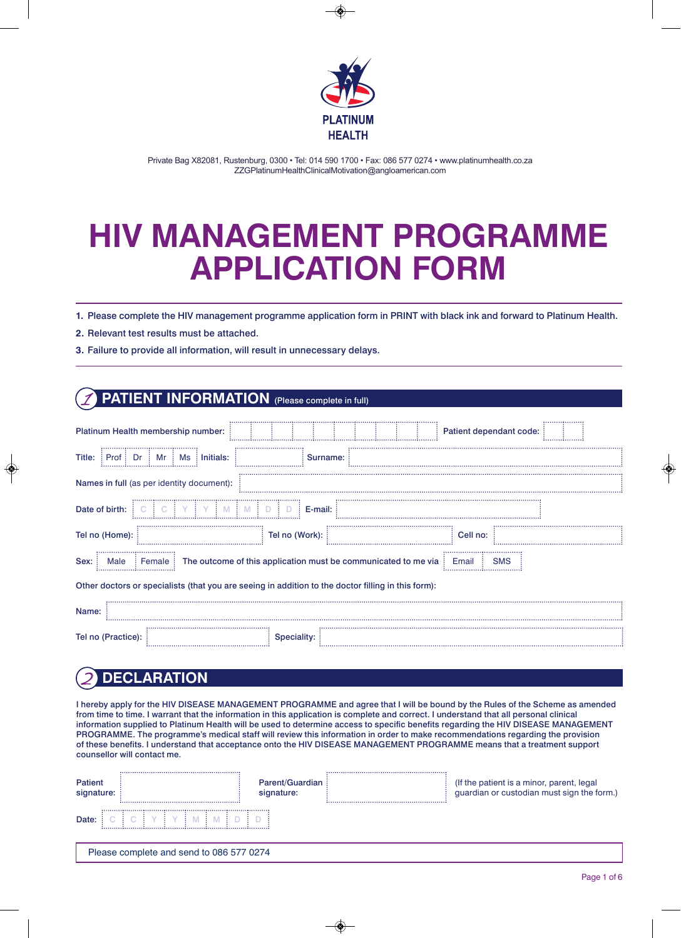

Private Bag X82081, Rustenburg, 0300 • Tel: 014 590 1700 • Fax: 086 577 0274 • www.platinumhealth.co.za ZZGPlatinumHealthClinicalMotivation@angloamerican.com

# **HIV MANAGEMENT PROGRAMME APPLICATION FORM**

**1.** Please complete the HIV management programme application form in PRINT with black ink and forward to Platinum Health.

**2.** Relevant test results must be attached.

**3.** Failure to provide all information, will result in unnecessary delays.

#### **PATIENT INFORMATION** (Please complete in full)

| Platinum Health membership number:                                                                               |                | Patient dependant code: |  |  |
|------------------------------------------------------------------------------------------------------------------|----------------|-------------------------|--|--|
| Title:<br>$\pm$ Initials:<br>Prof<br>Dr<br>Ms<br>Mr                                                              | Surname:       |                         |  |  |
| Names in full (as per identity document):                                                                        |                |                         |  |  |
| Date of birth:                                                                                                   | E-mail:        |                         |  |  |
| Tel no (Home):                                                                                                   | Tel no (Work): | Cell no:                |  |  |
| The outcome of this application must be communicated to me via<br>Sex:<br><b>SMS</b><br>Female:<br>Email<br>Male |                |                         |  |  |
| Other doctors or specialists (that you are seeing in addition to the doctor filling in this form):               |                |                         |  |  |
| Name:                                                                                                            |                |                         |  |  |
| Tel no (Practice):                                                                                               | Speciality:    |                         |  |  |

### 2 **DECLARATION**

I hereby apply for the HIV DISEASE MANAGEMENT PROGRAMME and agree that I will be bound by the Rules of the Scheme as amended from time to time. I warrant that the information in this application is complete and correct. I understand that all personal clinical information supplied to Platinum Health will be used to determine access to specific benefits regarding the HIV DISEASE MANAGEMENT PROGRAMME. The programme's medical staff will review this information in order to make recommendations regarding the provision of these benefits. I understand that acceptance onto the HIV DISEASE MANAGEMENT PROGRAMME means that a treatment support counsellor will contact me.

| Patient<br>signature: |                                          | <b>Parent/Guardian:</b><br>signature: | (If the patient is a minor, parent, legal<br>guardian or custodian must sign the form.) |
|-----------------------|------------------------------------------|---------------------------------------|-----------------------------------------------------------------------------------------|
| Date:                 |                                          |                                       |                                                                                         |
|                       | Please complete and send to 086 577 0274 |                                       |                                                                                         |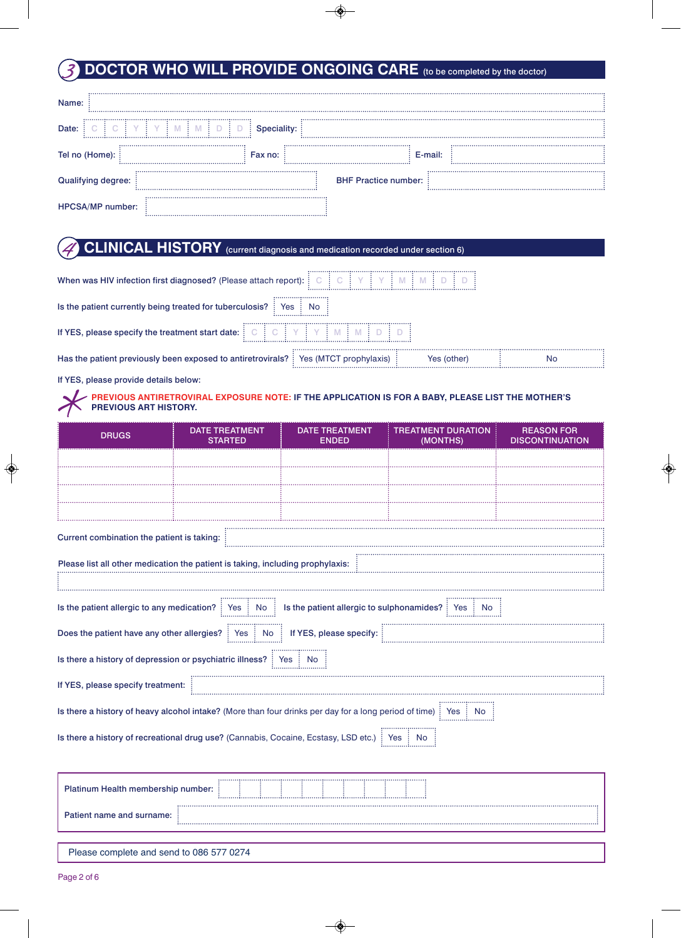#### **DOCTOR WHO WILL PROVIDE ONGOING CARE** (to be completed by the doctor)

| Name:                |             |                             |  |
|----------------------|-------------|-----------------------------|--|
| Date:                | Speciality: |                             |  |
| Tel no (Home):       | Fax no:     | E-mail:                     |  |
| ying degree:<br>Qual |             | <b>BHF Practice number:</b> |  |
| HPCSA/MP number:     |             |                             |  |

#### **CLINICAL HISTORY** (current diagnosis and medication recorded under section 6)

| When was HIV infection first diagnosed? (Please attach report): [C                                  |    |  |
|-----------------------------------------------------------------------------------------------------|----|--|
| Is the patient currently being treated for tuberculosis?<br>No<br>                                  |    |  |
| If YES, please specify the treatment start date:                                                    |    |  |
| Has the patient previously been exposed to antiretrovirals? : Yes (MTCT prophylaxis)<br>Yes (other) | N0 |  |

If YES, please provide details below:

#### **PREVIOUS ANTIRETROVIRAL EXPOSURE NOTE: IF THE APPLICATION IS FOR A BABY, PLEASE LIST THE MOTHER'S PREVIOUS ART HISTORY.**

| <b>DRUGS</b>                                                                                                                          | <b>DATE TREATMENT</b><br><b>STARTED</b> | <b>DATE TREATMENT</b><br><b>ENDED</b>     | <b>TREATMENT DURATION</b><br>(MONTHS) | <b>REASON FOR</b><br><b>DISCONTINUATION</b> |
|---------------------------------------------------------------------------------------------------------------------------------------|-----------------------------------------|-------------------------------------------|---------------------------------------|---------------------------------------------|
|                                                                                                                                       |                                         |                                           |                                       |                                             |
|                                                                                                                                       |                                         |                                           |                                       |                                             |
|                                                                                                                                       |                                         |                                           |                                       |                                             |
|                                                                                                                                       |                                         |                                           |                                       |                                             |
| Current combination the patient is taking:                                                                                            |                                         |                                           |                                       |                                             |
| Please list all other medication the patient is taking, including prophylaxis:                                                        |                                         |                                           |                                       |                                             |
| Is the patient allergic to any medication? $\frac{1}{2}$ Yes $\frac{1}{2}$ No $\frac{1}{2}$                                           |                                         | Is the patient allergic to sulphonamides? | Yes<br>NO.                            |                                             |
| Does the patient have any other allergies?   Yes   No                                                                                 |                                         | If YES, please specify:                   |                                       |                                             |
| Is there a history of depression or psychiatric illness?   Yes   No                                                                   |                                         |                                           |                                       |                                             |
| If YES, please specify treatment:                                                                                                     |                                         |                                           |                                       |                                             |
| Is there a history of heavy alcohol intake? (More than four drinks per day for a long period of time) $\frac{1}{2}$ Yes $\frac{1}{2}$ |                                         |                                           | <b>No</b>                             |                                             |
| Is there a history of recreational drug use? (Cannabis, Cocaine, Ecstasy, LSD etc.)   Yes   No                                        |                                         |                                           |                                       |                                             |
| Platinum Health membership number:                                                                                                    |                                         |                                           |                                       |                                             |
| Patient name and surname:                                                                                                             |                                         |                                           |                                       |                                             |
|                                                                                                                                       |                                         |                                           |                                       |                                             |

Please complete and send to 086 577 0274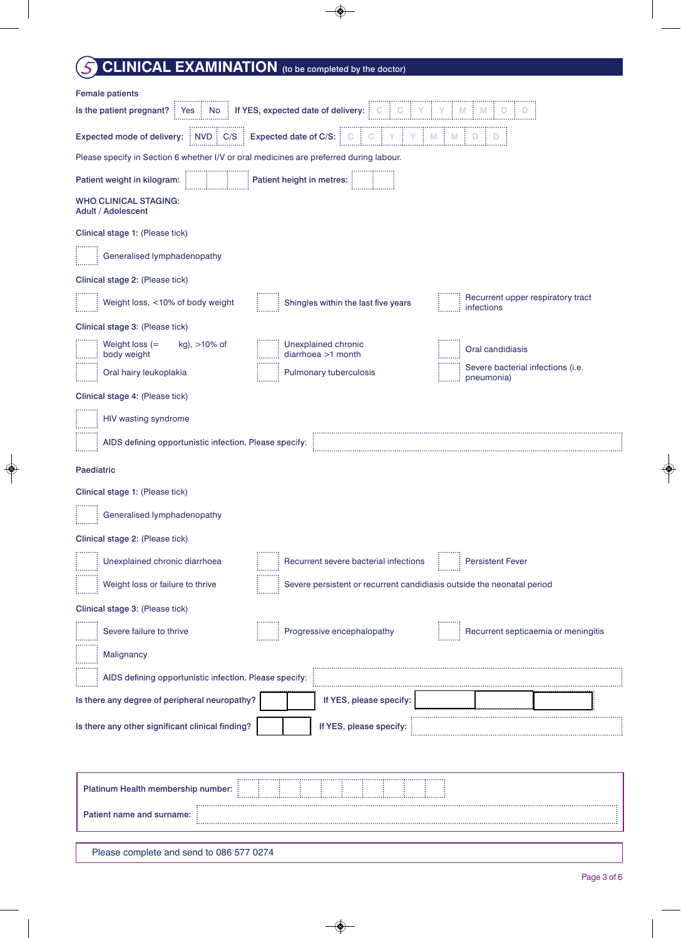# **CLINICAL EXAMINATION** (to be completed by the doctor)

| Expected mode of delivery: $\boxed{\text{NVD} \cdot \text{C/S}}$ Expected date of C/S: $\boxed{\text{C}}$ $\boxed{\text{C}}$ $\boxed{\text{C}}$ $\boxed{\text{V}}$ $\boxed{\text{N}}$ $\boxed{\text{M}}$ $\boxed{\text{D}}$ $\boxed{\text{D}}$<br><b>Example 1</b> Patient height in metres:<br><b>WHO CLINICAL STAGING:</b><br><b>Adult / Adolescent</b><br>Generalised lymphadenopathy<br>Recurrent upper respiratory tract<br>Weight loss, <10% of body weight<br>Shingles within the last five years<br>$\frac{1}{2}$ infections<br>$\dddot{\hspace{0.1cm}}$ : Weight loss (=<br>kg), >10% of<br>Oral candidiasis<br>body weight<br>Severe bacterial infections (i.e.<br>Cral hairy leukoplakia<br>Pulmonary tuberculosis<br>pneumonia)<br>HIV wasting syndrome<br>AIDS defining opportunistic infection. Please specify:<br>Generalised lymphadenopathy<br>Unexplained chronic diarrhoea<br><b>Persistent Fever</b><br>Recurrent severe bacterial infections<br>Weight loss or failure to thrive<br>Severe persistent or recurrent candidiasis outside the neonatal period<br>Progressive encephalopathy<br>Recurrent septicaemia or meningitis<br>Severe failure to thrive<br>Malignancy<br>AIDS defining opportunistic infection. Please specify:<br>If YES, please specify:<br>If YES, please specify:<br>Platinum Health membership number: | <b>Female patients</b><br>Is the patient pregnant?   Yes   No   If YES, expected date of delivery: $\begin{bmatrix} C & C & C \\ C & C & V \end{bmatrix} Y$   $N$   $M$   $D$ |  |  |  |  |
|------------------------------------------------------------------------------------------------------------------------------------------------------------------------------------------------------------------------------------------------------------------------------------------------------------------------------------------------------------------------------------------------------------------------------------------------------------------------------------------------------------------------------------------------------------------------------------------------------------------------------------------------------------------------------------------------------------------------------------------------------------------------------------------------------------------------------------------------------------------------------------------------------------------------------------------------------------------------------------------------------------------------------------------------------------------------------------------------------------------------------------------------------------------------------------------------------------------------------------------------------------------------------------------------------------------------------------------------------|-------------------------------------------------------------------------------------------------------------------------------------------------------------------------------|--|--|--|--|
|                                                                                                                                                                                                                                                                                                                                                                                                                                                                                                                                                                                                                                                                                                                                                                                                                                                                                                                                                                                                                                                                                                                                                                                                                                                                                                                                                      |                                                                                                                                                                               |  |  |  |  |
|                                                                                                                                                                                                                                                                                                                                                                                                                                                                                                                                                                                                                                                                                                                                                                                                                                                                                                                                                                                                                                                                                                                                                                                                                                                                                                                                                      | Please specify in Section 6 whether I/V or oral medicines are preferred during labour.                                                                                        |  |  |  |  |
|                                                                                                                                                                                                                                                                                                                                                                                                                                                                                                                                                                                                                                                                                                                                                                                                                                                                                                                                                                                                                                                                                                                                                                                                                                                                                                                                                      | Patient weight in kilogram:                                                                                                                                                   |  |  |  |  |
|                                                                                                                                                                                                                                                                                                                                                                                                                                                                                                                                                                                                                                                                                                                                                                                                                                                                                                                                                                                                                                                                                                                                                                                                                                                                                                                                                      |                                                                                                                                                                               |  |  |  |  |
|                                                                                                                                                                                                                                                                                                                                                                                                                                                                                                                                                                                                                                                                                                                                                                                                                                                                                                                                                                                                                                                                                                                                                                                                                                                                                                                                                      | Clinical stage 1: (Please tick)                                                                                                                                               |  |  |  |  |
|                                                                                                                                                                                                                                                                                                                                                                                                                                                                                                                                                                                                                                                                                                                                                                                                                                                                                                                                                                                                                                                                                                                                                                                                                                                                                                                                                      |                                                                                                                                                                               |  |  |  |  |
|                                                                                                                                                                                                                                                                                                                                                                                                                                                                                                                                                                                                                                                                                                                                                                                                                                                                                                                                                                                                                                                                                                                                                                                                                                                                                                                                                      | Clinical stage 2: (Please tick)                                                                                                                                               |  |  |  |  |
|                                                                                                                                                                                                                                                                                                                                                                                                                                                                                                                                                                                                                                                                                                                                                                                                                                                                                                                                                                                                                                                                                                                                                                                                                                                                                                                                                      |                                                                                                                                                                               |  |  |  |  |
|                                                                                                                                                                                                                                                                                                                                                                                                                                                                                                                                                                                                                                                                                                                                                                                                                                                                                                                                                                                                                                                                                                                                                                                                                                                                                                                                                      | Clinical stage 3: (Please tick)                                                                                                                                               |  |  |  |  |
|                                                                                                                                                                                                                                                                                                                                                                                                                                                                                                                                                                                                                                                                                                                                                                                                                                                                                                                                                                                                                                                                                                                                                                                                                                                                                                                                                      |                                                                                                                                                                               |  |  |  |  |
|                                                                                                                                                                                                                                                                                                                                                                                                                                                                                                                                                                                                                                                                                                                                                                                                                                                                                                                                                                                                                                                                                                                                                                                                                                                                                                                                                      |                                                                                                                                                                               |  |  |  |  |
|                                                                                                                                                                                                                                                                                                                                                                                                                                                                                                                                                                                                                                                                                                                                                                                                                                                                                                                                                                                                                                                                                                                                                                                                                                                                                                                                                      | Clinical stage 4: (Please tick)                                                                                                                                               |  |  |  |  |
|                                                                                                                                                                                                                                                                                                                                                                                                                                                                                                                                                                                                                                                                                                                                                                                                                                                                                                                                                                                                                                                                                                                                                                                                                                                                                                                                                      |                                                                                                                                                                               |  |  |  |  |
|                                                                                                                                                                                                                                                                                                                                                                                                                                                                                                                                                                                                                                                                                                                                                                                                                                                                                                                                                                                                                                                                                                                                                                                                                                                                                                                                                      |                                                                                                                                                                               |  |  |  |  |
|                                                                                                                                                                                                                                                                                                                                                                                                                                                                                                                                                                                                                                                                                                                                                                                                                                                                                                                                                                                                                                                                                                                                                                                                                                                                                                                                                      | Paediatric                                                                                                                                                                    |  |  |  |  |
|                                                                                                                                                                                                                                                                                                                                                                                                                                                                                                                                                                                                                                                                                                                                                                                                                                                                                                                                                                                                                                                                                                                                                                                                                                                                                                                                                      | Clinical stage 1: (Please tick)                                                                                                                                               |  |  |  |  |
|                                                                                                                                                                                                                                                                                                                                                                                                                                                                                                                                                                                                                                                                                                                                                                                                                                                                                                                                                                                                                                                                                                                                                                                                                                                                                                                                                      |                                                                                                                                                                               |  |  |  |  |
|                                                                                                                                                                                                                                                                                                                                                                                                                                                                                                                                                                                                                                                                                                                                                                                                                                                                                                                                                                                                                                                                                                                                                                                                                                                                                                                                                      | Clinical stage 2: (Please tick)                                                                                                                                               |  |  |  |  |
|                                                                                                                                                                                                                                                                                                                                                                                                                                                                                                                                                                                                                                                                                                                                                                                                                                                                                                                                                                                                                                                                                                                                                                                                                                                                                                                                                      |                                                                                                                                                                               |  |  |  |  |
|                                                                                                                                                                                                                                                                                                                                                                                                                                                                                                                                                                                                                                                                                                                                                                                                                                                                                                                                                                                                                                                                                                                                                                                                                                                                                                                                                      |                                                                                                                                                                               |  |  |  |  |
|                                                                                                                                                                                                                                                                                                                                                                                                                                                                                                                                                                                                                                                                                                                                                                                                                                                                                                                                                                                                                                                                                                                                                                                                                                                                                                                                                      | Clinical stage 3: (Please tick)                                                                                                                                               |  |  |  |  |
|                                                                                                                                                                                                                                                                                                                                                                                                                                                                                                                                                                                                                                                                                                                                                                                                                                                                                                                                                                                                                                                                                                                                                                                                                                                                                                                                                      |                                                                                                                                                                               |  |  |  |  |
|                                                                                                                                                                                                                                                                                                                                                                                                                                                                                                                                                                                                                                                                                                                                                                                                                                                                                                                                                                                                                                                                                                                                                                                                                                                                                                                                                      |                                                                                                                                                                               |  |  |  |  |
|                                                                                                                                                                                                                                                                                                                                                                                                                                                                                                                                                                                                                                                                                                                                                                                                                                                                                                                                                                                                                                                                                                                                                                                                                                                                                                                                                      |                                                                                                                                                                               |  |  |  |  |
|                                                                                                                                                                                                                                                                                                                                                                                                                                                                                                                                                                                                                                                                                                                                                                                                                                                                                                                                                                                                                                                                                                                                                                                                                                                                                                                                                      | Is there any degree of peripheral neuropathy?                                                                                                                                 |  |  |  |  |
|                                                                                                                                                                                                                                                                                                                                                                                                                                                                                                                                                                                                                                                                                                                                                                                                                                                                                                                                                                                                                                                                                                                                                                                                                                                                                                                                                      | Is there any other significant clinical finding?                                                                                                                              |  |  |  |  |
|                                                                                                                                                                                                                                                                                                                                                                                                                                                                                                                                                                                                                                                                                                                                                                                                                                                                                                                                                                                                                                                                                                                                                                                                                                                                                                                                                      |                                                                                                                                                                               |  |  |  |  |
| Patient name and surname:                                                                                                                                                                                                                                                                                                                                                                                                                                                                                                                                                                                                                                                                                                                                                                                                                                                                                                                                                                                                                                                                                                                                                                                                                                                                                                                            |                                                                                                                                                                               |  |  |  |  |

Please complete and send to 086 577 0274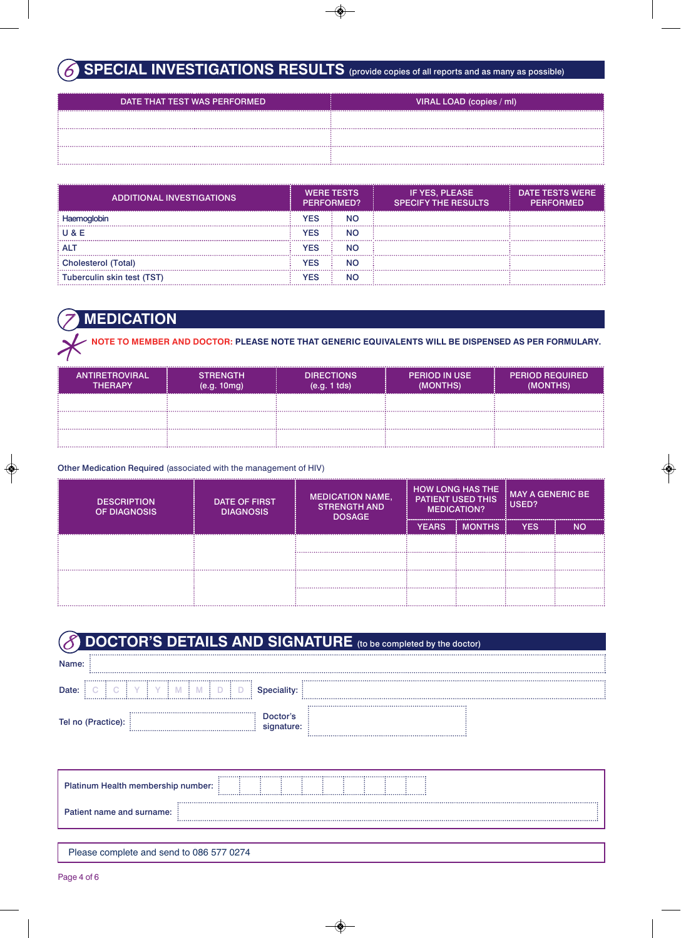### SPECIAL INVESTIGATIONS RESULTS (provide copies of all reports and as many as possible)

| <br>DATE THAT TEST WAS PERFORMED | VIRAL LOAD (copies / ml) |
|----------------------------------|--------------------------|
|                                  |                          |
|                                  |                          |
|                                  |                          |

| ADDITIONAL INVESTIGATIONS  | <b>WERE TESTS</b><br>PERFORMED? |           | IF YES, PLEASE<br><b>SPECIFY THE RESULTS</b> | <b>DATE TESTS WERE</b><br><b>PERFORMED</b> |
|----------------------------|---------------------------------|-----------|----------------------------------------------|--------------------------------------------|
|                            | YES                             | <b>NO</b> |                                              |                                            |
| U & E                      | 7ES                             | <b>NO</b> |                                              |                                            |
| : ALT                      | 7ES                             | ΝO        |                                              |                                            |
| <b>Cholesterol (Total)</b> | YES                             | <b>NO</b> |                                              |                                            |
| Tuberculin skin test (TST) | ⁄ES                             | NC        |                                              |                                            |

# 7 **MEDICATION**

**NOTE TO MEMBER AND DOCTOR: PLEASE NOTE THAT GENERIC EQUIVALENTS WILL BE DISPENSED AS PER FORMULARY.**

| <br><b>ANTIRETROVIRAL</b> '<br><b>THFRAPY</b> | <b>STRENGTH</b><br>(e.g. 10mg) | <b>DIRECTIONS</b><br>$(e.q. 1$ tds) | <b>PERIOD IN USE</b><br>(MONTHS) | <b>PERIOD REQUIRED'</b><br>(MONTHS) |
|-----------------------------------------------|--------------------------------|-------------------------------------|----------------------------------|-------------------------------------|
|                                               |                                |                                     |                                  |                                     |
|                                               |                                |                                     |                                  |                                     |
|                                               |                                |                                     |                                  |                                     |

#### Other Medication Required (associated with the management of HIV)

| <b>DESCRIPTION</b><br><b>OF DIAGNOSIS</b> | <b>DATE OF FIRST</b><br><b>DIAGNOSIS</b> | <b>MEDICATION NAME,</b><br><b>STRENGTH AND</b><br><b>DOSAGE</b> | <b>HOW LONG HAS THE</b><br><b>PATIENT USED THIS</b><br><b>MEDICATION?</b> |               | <b>MAY A GENERIC BE</b><br>USED? |    |
|-------------------------------------------|------------------------------------------|-----------------------------------------------------------------|---------------------------------------------------------------------------|---------------|----------------------------------|----|
|                                           |                                          |                                                                 | <b>YEARS</b>                                                              | <b>MONTHS</b> | <b>YFS</b>                       | NΟ |
|                                           |                                          |                                                                 |                                                                           |               |                                  |    |
|                                           |                                          |                                                                 |                                                                           |               |                                  |    |
|                                           |                                          |                                                                 |                                                                           |               |                                  |    |
|                                           |                                          |                                                                 |                                                                           |               |                                  |    |

| DOCTOR'S DETAILS AND SIGNATURE (to be completed by the doctor) |                     |  |  |
|----------------------------------------------------------------|---------------------|--|--|
| Name:                                                          |                     |  |  |
| Date:                                                          |                     |  |  |
| Tel no (Practice):                                             | Doctor's<br>ınature |  |  |

| Platinum Health membership number: !     |  | ----------------- |  |  |  |  |  |  |  |
|------------------------------------------|--|-------------------|--|--|--|--|--|--|--|
| <b>Patient name and surname:</b> :       |  |                   |  |  |  |  |  |  |  |
|                                          |  |                   |  |  |  |  |  |  |  |
| Please complete and send to 086 577 0274 |  |                   |  |  |  |  |  |  |  |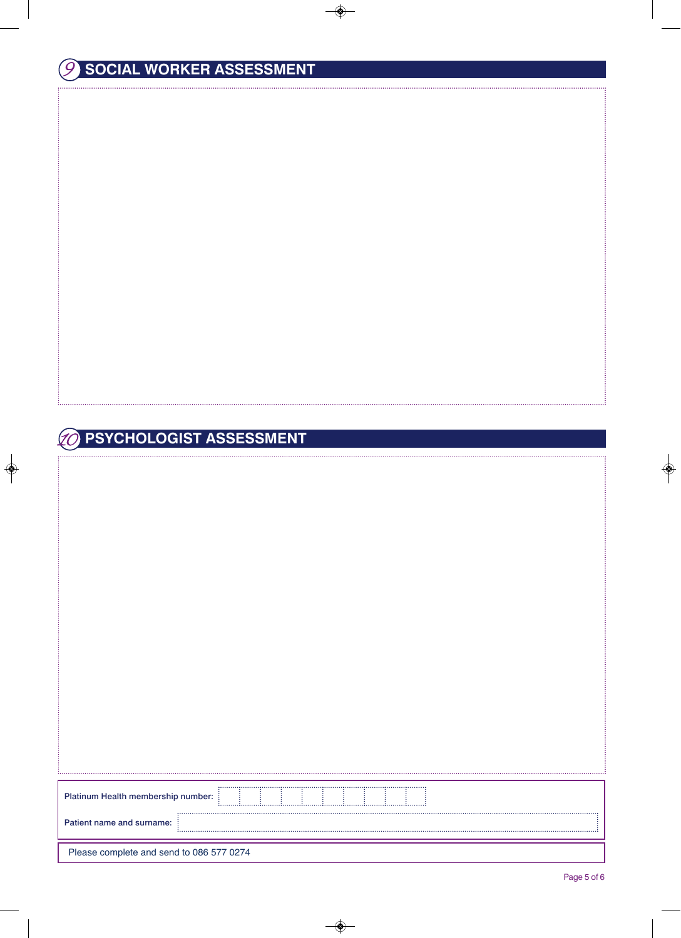### **PSYCHOLOGIST ASSESSMENT**

| <br>Platinum Health membership number:   |
|------------------------------------------|
| Patient name and surname:                |
| Please complete and send to 086 577 0274 |